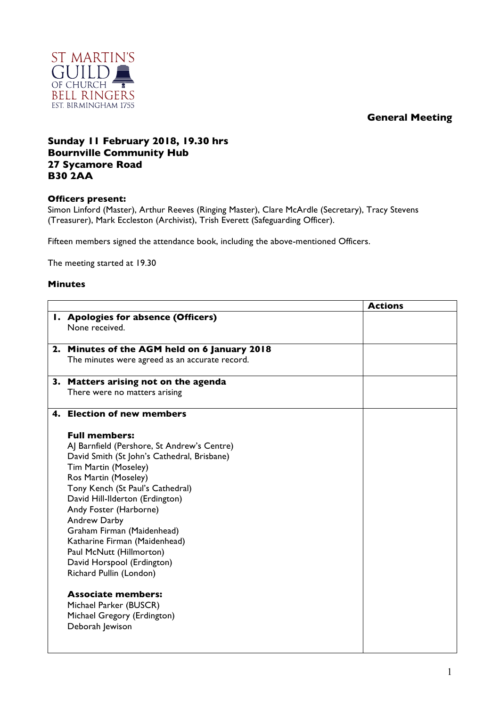## **General Meeting**



## **Sunday 11 February 2018, 19.30 hrs Bournville Community Hub 27 Sycamore Road B30 2AA**

## **Officers present:**

Simon Linford (Master), Arthur Reeves (Ringing Master), Clare McArdle (Secretary), Tracy Stevens (Treasurer), Mark Eccleston (Archivist), Trish Everett (Safeguarding Officer).

Fifteen members signed the attendance book, including the above-mentioned Officers.

The meeting started at 19.30

## **Minutes**

|                                                | <b>Actions</b> |
|------------------------------------------------|----------------|
| I. Apologies for absence (Officers)            |                |
| None received.                                 |                |
| 2. Minutes of the AGM held on 6 January 2018   |                |
| The minutes were agreed as an accurate record. |                |
| 3. Matters arising not on the agenda           |                |
| There were no matters arising                  |                |
| 4. Election of new members                     |                |
| <b>Full members:</b>                           |                |
| AJ Barnfield (Pershore, St Andrew's Centre)    |                |
| David Smith (St John's Cathedral, Brisbane)    |                |
| Tim Martin (Moseley)                           |                |
| Ros Martin (Moseley)                           |                |
| Tony Kench (St Paul's Cathedral)               |                |
| David Hill-Ilderton (Erdington)                |                |
| Andy Foster (Harborne)                         |                |
| Andrew Darby                                   |                |
| Graham Firman (Maidenhead)                     |                |
| Katharine Firman (Maidenhead)                  |                |
| Paul McNutt (Hillmorton)                       |                |
| David Horspool (Erdington)                     |                |
| Richard Pullin (London)                        |                |
| <b>Associate members:</b>                      |                |
| Michael Parker (BUSCR)                         |                |
| Michael Gregory (Erdington)                    |                |
| Deborah Jewison                                |                |
|                                                |                |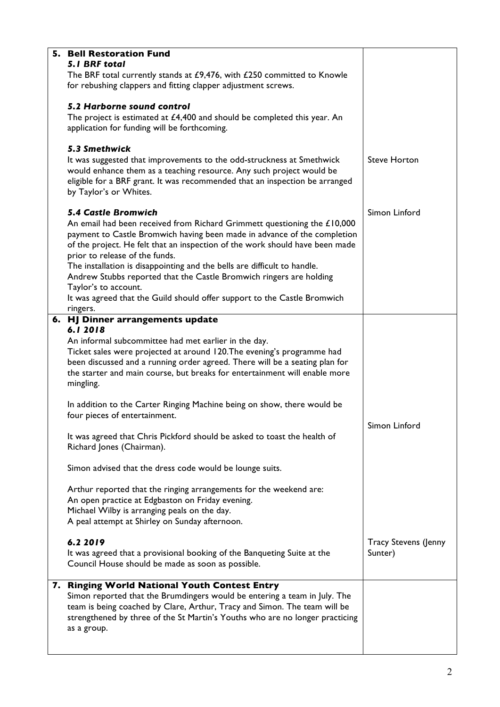| 5. Bell Restoration Fund                                                     |                             |
|------------------------------------------------------------------------------|-----------------------------|
| <b>5.1 BRF total</b>                                                         |                             |
| The BRF total currently stands at £9,476, with £250 committed to Knowle      |                             |
| for rebushing clappers and fitting clapper adjustment screws.                |                             |
|                                                                              |                             |
|                                                                              |                             |
| 5.2 Harborne sound control                                                   |                             |
| The project is estimated at $£4,400$ and should be completed this year. An   |                             |
| application for funding will be forthcoming.                                 |                             |
|                                                                              |                             |
|                                                                              |                             |
| 5.3 Smethwick                                                                |                             |
| It was suggested that improvements to the odd-struckness at Smethwick        | <b>Steve Horton</b>         |
| would enhance them as a teaching resource. Any such project would be         |                             |
| eligible for a BRF grant. It was recommended that an inspection be arranged  |                             |
| by Taylor's or Whites.                                                       |                             |
|                                                                              |                             |
|                                                                              |                             |
| <b>5.4 Castle Bromwich</b>                                                   | Simon Linford               |
| An email had been received from Richard Grimmett questioning the £10,000     |                             |
| payment to Castle Bromwich having been made in advance of the completion     |                             |
| of the project. He felt that an inspection of the work should have been made |                             |
|                                                                              |                             |
| prior to release of the funds.                                               |                             |
| The installation is disappointing and the bells are difficult to handle.     |                             |
| Andrew Stubbs reported that the Castle Bromwich ringers are holding          |                             |
| Taylor's to account.                                                         |                             |
| It was agreed that the Guild should offer support to the Castle Bromwich     |                             |
|                                                                              |                             |
| ringers.                                                                     |                             |
| 6. HJ Dinner arrangements update                                             |                             |
| 6.12018                                                                      |                             |
| An informal subcommittee had met earlier in the day.                         |                             |
| Ticket sales were projected at around 120. The evening's programme had       |                             |
|                                                                              |                             |
| been discussed and a running order agreed. There will be a seating plan for  |                             |
| the starter and main course, but breaks for entertainment will enable more   |                             |
| mingling.                                                                    |                             |
|                                                                              |                             |
| In addition to the Carter Ringing Machine being on show, there would be      |                             |
| four pieces of entertainment.                                                |                             |
|                                                                              | Simon Linford               |
|                                                                              |                             |
| It was agreed that Chris Pickford should be asked to toast the health of     |                             |
| Richard Jones (Chairman).                                                    |                             |
|                                                                              |                             |
| Simon advised that the dress code would be lounge suits.                     |                             |
|                                                                              |                             |
|                                                                              |                             |
| Arthur reported that the ringing arrangements for the weekend are:           |                             |
| An open practice at Edgbaston on Friday evening.                             |                             |
| Michael Wilby is arranging peals on the day.                                 |                             |
| A peal attempt at Shirley on Sunday afternoon.                               |                             |
|                                                                              |                             |
| 6.2 2019                                                                     | <b>Tracy Stevens (Jenny</b> |
|                                                                              |                             |
| It was agreed that a provisional booking of the Banqueting Suite at the      | Sunter)                     |
| Council House should be made as soon as possible.                            |                             |
|                                                                              |                             |
| 7. Ringing World National Youth Contest Entry                                |                             |
| Simon reported that the Brumdingers would be entering a team in July. The    |                             |
| team is being coached by Clare, Arthur, Tracy and Simon. The team will be    |                             |
| strengthened by three of the St Martin's Youths who are no longer practicing |                             |
|                                                                              |                             |
| as a group.                                                                  |                             |
|                                                                              |                             |
|                                                                              |                             |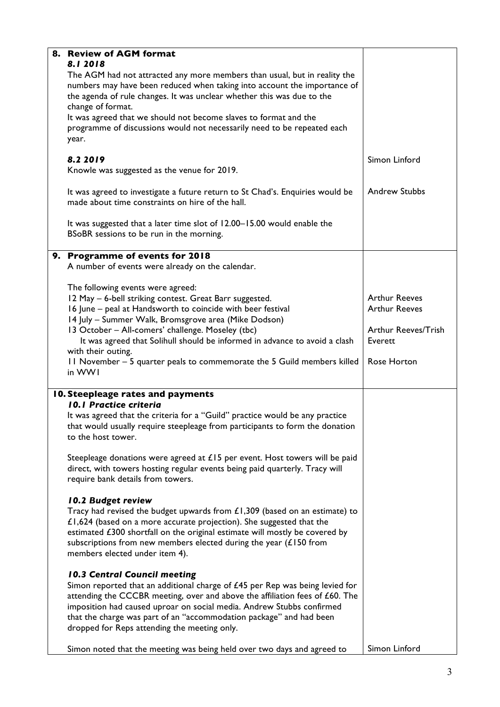| 8. Review of AGM format<br>8.12018<br>The AGM had not attracted any more members than usual, but in reality the                                                                                                                                                                                                                              |                      |
|----------------------------------------------------------------------------------------------------------------------------------------------------------------------------------------------------------------------------------------------------------------------------------------------------------------------------------------------|----------------------|
| numbers may have been reduced when taking into account the importance of<br>the agenda of rule changes. It was unclear whether this was due to the<br>change of format.                                                                                                                                                                      |                      |
| It was agreed that we should not become slaves to format and the<br>programme of discussions would not necessarily need to be repeated each<br>year.                                                                                                                                                                                         |                      |
| 8.2 2019<br>Knowle was suggested as the venue for 2019.                                                                                                                                                                                                                                                                                      | Simon Linford        |
| It was agreed to investigate a future return to St Chad's. Enquiries would be<br>made about time constraints on hire of the hall.                                                                                                                                                                                                            | <b>Andrew Stubbs</b> |
| It was suggested that a later time slot of 12.00-15.00 would enable the<br>BSoBR sessions to be run in the morning.                                                                                                                                                                                                                          |                      |
| 9. Programme of events for 2018<br>A number of events were already on the calendar.                                                                                                                                                                                                                                                          |                      |
| The following events were agreed:<br>12 May - 6-bell striking contest. Great Barr suggested.                                                                                                                                                                                                                                                 | <b>Arthur Reeves</b> |
| 16 June - peal at Handsworth to coincide with beer festival                                                                                                                                                                                                                                                                                  | <b>Arthur Reeves</b> |
| 14 July - Summer Walk, Bromsgrove area (Mike Dodson)<br>13 October - All-comers' challenge. Moseley (tbc)                                                                                                                                                                                                                                    | Arthur Reeves/Trish  |
| It was agreed that Solihull should be informed in advance to avoid a clash                                                                                                                                                                                                                                                                   | Everett              |
| with their outing.<br>11 November – 5 quarter peals to commemorate the 5 Guild members killed<br>in WWI                                                                                                                                                                                                                                      | Rose Horton          |
| 10. Steepleage rates and payments<br><b>10.1 Practice criteria</b>                                                                                                                                                                                                                                                                           |                      |
| It was agreed that the criteria for a "Guild" practice would be any practice<br>that would usually require steepleage from participants to form the donation<br>to the host tower.                                                                                                                                                           |                      |
| Steepleage donations were agreed at £15 per event. Host towers will be paid<br>direct, with towers hosting regular events being paid quarterly. Tracy will<br>require bank details from towers.                                                                                                                                              |                      |
| 10.2 Budget review                                                                                                                                                                                                                                                                                                                           |                      |
| Tracy had revised the budget upwards from $£1,309$ (based on an estimate) to<br>£1,624 (based on a more accurate projection). She suggested that the<br>estimated £300 shortfall on the original estimate will mostly be covered by<br>subscriptions from new members elected during the year $(f150$ from<br>members elected under item 4). |                      |
| 10.3 Central Council meeting                                                                                                                                                                                                                                                                                                                 |                      |
| Simon reported that an additional charge of $£45$ per Rep was being levied for<br>attending the CCCBR meeting, over and above the affiliation fees of £60. The<br>imposition had caused uproar on social media. Andrew Stubbs confirmed<br>that the charge was part of an "accommodation package" and had been                               |                      |
| dropped for Reps attending the meeting only.                                                                                                                                                                                                                                                                                                 |                      |
| Simon noted that the meeting was being held over two days and agreed to                                                                                                                                                                                                                                                                      | Simon Linford        |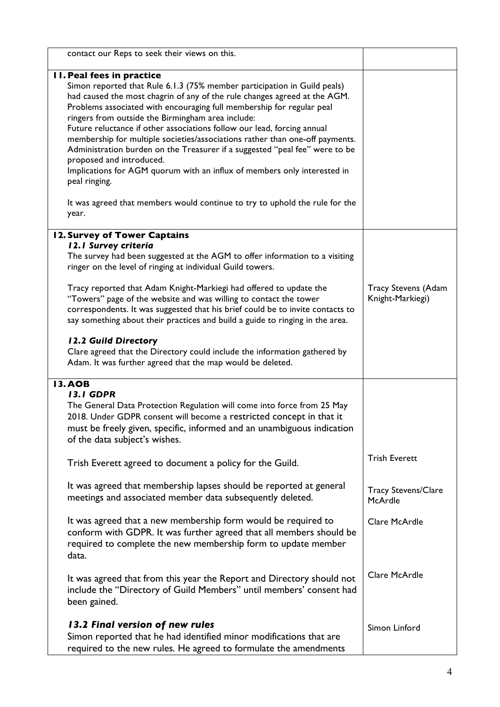| contact our Reps to seek their views on this.                                                                                                                                                                                                                                                                                                                                                                                                                                                                                                                                                                                                                                                                                                                             |                                                |
|---------------------------------------------------------------------------------------------------------------------------------------------------------------------------------------------------------------------------------------------------------------------------------------------------------------------------------------------------------------------------------------------------------------------------------------------------------------------------------------------------------------------------------------------------------------------------------------------------------------------------------------------------------------------------------------------------------------------------------------------------------------------------|------------------------------------------------|
| <b>II. Peal fees in practice</b><br>Simon reported that Rule 6.1.3 (75% member participation in Guild peals)<br>had caused the most chagrin of any of the rule changes agreed at the AGM.<br>Problems associated with encouraging full membership for regular peal<br>ringers from outside the Birmingham area include:<br>Future reluctance if other associations follow our lead, forcing annual<br>membership for multiple societies/associations rather than one-off payments.<br>Administration burden on the Treasurer if a suggested "peal fee" were to be<br>proposed and introduced.<br>Implications for AGM quorum with an influx of members only interested in<br>peal ringing.<br>It was agreed that members would continue to try to uphold the rule for the |                                                |
| year.                                                                                                                                                                                                                                                                                                                                                                                                                                                                                                                                                                                                                                                                                                                                                                     |                                                |
| 12. Survey of Tower Captains<br>12.1 Survey criteria<br>The survey had been suggested at the AGM to offer information to a visiting<br>ringer on the level of ringing at individual Guild towers.<br>Tracy reported that Adam Knight-Markiegi had offered to update the<br>"Towers" page of the website and was willing to contact the tower<br>correspondents. It was suggested that his brief could be to invite contacts to<br>say something about their practices and build a guide to ringing in the area.<br>12.2 Guild Directory                                                                                                                                                                                                                                   | <b>Tracy Stevens (Adam</b><br>Knight-Markiegi) |
| Clare agreed that the Directory could include the information gathered by<br>Adam. It was further agreed that the map would be deleted.                                                                                                                                                                                                                                                                                                                                                                                                                                                                                                                                                                                                                                   |                                                |
| <b>13.AOB</b><br><b>13.1 GDPR</b><br>The General Data Protection Regulation will come into force from 25 May<br>2018. Under GDPR consent will become a restricted concept in that it<br>must be freely given, specific, informed and an unambiguous indication<br>of the data subject's wishes.                                                                                                                                                                                                                                                                                                                                                                                                                                                                           |                                                |
| Trish Everett agreed to document a policy for the Guild.                                                                                                                                                                                                                                                                                                                                                                                                                                                                                                                                                                                                                                                                                                                  | <b>Trish Everett</b>                           |
| It was agreed that membership lapses should be reported at general<br>meetings and associated member data subsequently deleted.                                                                                                                                                                                                                                                                                                                                                                                                                                                                                                                                                                                                                                           | <b>Tracy Stevens/Clare</b><br>McArdle          |
| It was agreed that a new membership form would be required to<br>conform with GDPR. It was further agreed that all members should be<br>required to complete the new membership form to update member<br>data.                                                                                                                                                                                                                                                                                                                                                                                                                                                                                                                                                            | Clare McArdle                                  |
| It was agreed that from this year the Report and Directory should not<br>include the "Directory of Guild Members" until members' consent had<br>been gained.                                                                                                                                                                                                                                                                                                                                                                                                                                                                                                                                                                                                              | Clare McArdle                                  |
| 13.2 Final version of new rules<br>Simon reported that he had identified minor modifications that are<br>required to the new rules. He agreed to formulate the amendments                                                                                                                                                                                                                                                                                                                                                                                                                                                                                                                                                                                                 | Simon Linford                                  |